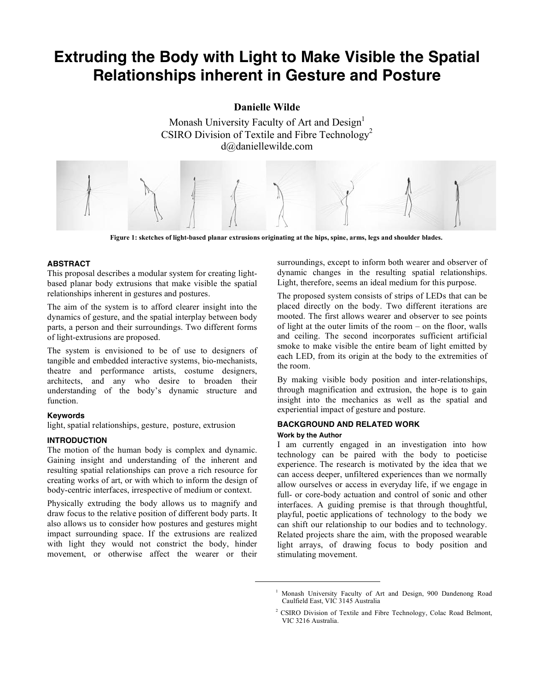# **Extruding the Body with Light to Make Visible the Spatial Relationships inherent in Gesture and Posture**

**Danielle Wilde**

Monash University Faculty of Art and Design<sup>1</sup> CSIRO Division of Textile and Fibre Technology<sup>2</sup> d@daniellewilde.com



**Figure 1: sketches of light-based planar extrusions originating at the hips, spine, arms, legs and shoulder blades.**

### **ABSTRACT**

This proposal describes a modular system for creating lightbased planar body extrusions that make visible the spatial relationships inherent in gestures and postures.

The aim of the system is to afford clearer insight into the dynamics of gesture, and the spatial interplay between body parts, a person and their surroundings. Two different forms of light-extrusions are proposed.

The system is envisioned to be of use to designers of tangible and embedded interactive systems, bio-mechanists, theatre and performance artists, costume designers, architects, and any who desire to broaden their understanding of the body's dynamic structure and function.

#### **Keywords**

light, spatial relationships, gesture, posture, extrusion

## **INTRODUCTION**

The motion of the human body is complex and dynamic. Gaining insight and understanding of the inherent and resulting spatial relationships can prove a rich resource for creating works of art, or with which to inform the design of body-centric interfaces, irrespective of medium or context.

Physically extruding the body allows us to magnify and draw focus to the relative position of different body parts. It also allows us to consider how postures and gestures might impact surrounding space. If the extrusions are realized with light they would not constrict the body, hinder movement, or otherwise affect the wearer or their surroundings, except to inform both wearer and observer of dynamic changes in the resulting spatial relationships. Light, therefore, seems an ideal medium for this purpose.

The proposed system consists of strips of LEDs that can be placed directly on the body. Two different iterations are mooted. The first allows wearer and observer to see points of light at the outer limits of the room – on the floor, walls and ceiling. The second incorporates sufficient artificial smoke to make visible the entire beam of light emitted by each LED, from its origin at the body to the extremities of the room.

By making visible body position and inter-relationships, through magnification and extrusion, the hope is to gain insight into the mechanics as well as the spatial and experiential impact of gesture and posture.

## **BACKGROUND AND RELATED WORK**

#### **Work by the Author**

l

I am currently engaged in an investigation into how technology can be paired with the body to poeticise experience. The research is motivated by the idea that we can access deeper, unfiltered experiences than we normally allow ourselves or access in everyday life, if we engage in full- or core-body actuation and control of sonic and other interfaces. A guiding premise is that through thoughtful, playful, poetic applications of technology to the body we can shift our relationship to our bodies and to technology. Related projects share the aim, with the proposed wearable light arrays, of drawing focus to body position and stimulating movement.

<sup>&</sup>lt;sup>1</sup> Monash University Faculty of Art and Design, 900 Dandenong Road Caulfield East, VIC 3145 Australia

<sup>&</sup>lt;sup>2</sup> CSIRO Division of Textile and Fibre Technology, Colac Road Belmont, VIC 3216 Australia.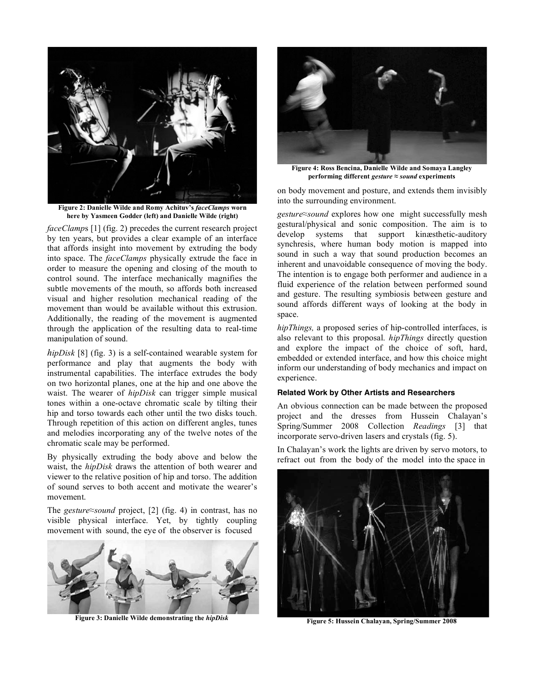

**Figure 2: Danielle Wilde and Romy Achituv's** *faceClamps* **worn here by Yasmeen Godder (left) and Danielle Wilde (right)**

*faceClamp*s [1] (fig. 2) precedes the current research project by ten years, but provides a clear example of an interface that affords insight into movement by extruding the body into space. The *faceClamps* physically extrude the face in order to measure the opening and closing of the mouth to control sound. The interface mechanically magnifies the subtle movements of the mouth, so affords both increased visual and higher resolution mechanical reading of the movement than would be available without this extrusion. Additionally, the reading of the movement is augmented through the application of the resulting data to real-time manipulation of sound.

*hipDisk* [8] (fig. 3) is a self-contained wearable system for performance and play that augments the body with instrumental capabilities. The interface extrudes the body on two horizontal planes, one at the hip and one above the waist. The wearer of *hipDisk* can trigger simple musical tones within a one-octave chromatic scale by tilting their hip and torso towards each other until the two disks touch. Through repetition of this action on different angles, tunes and melodies incorporating any of the twelve notes of the chromatic scale may be performed.

By physically extruding the body above and below the waist, the *hipDisk* draws the attention of both wearer and viewer to the relative position of hip and torso. The addition of sound serves to both accent and motivate the wearer's movement.

The *gesture≈sound* project, [2] (fig. 4) in contrast, has no visible physical interface. Yet, by tightly coupling movement with sound, the eye of the observer is focused



**Figure 3: Danielle Wilde demonstrating the** *hipDisk*



**Figure 4: Ross Bencina, Danielle Wilde and Somaya Langley performing different** *gesture ≈ sound* **experiments**

on body movement and posture, and extends them invisibly into the surrounding environment.

*gesture≈sound* explores how one might successfully mesh gestural/physical and sonic composition. The aim is to develop systems that support kinæsthetic-auditory synchresis, where human body motion is mapped into sound in such a way that sound production becomes an inherent and unavoidable consequence of moving the body. The intention is to engage both performer and audience in a fluid experience of the relation between performed sound and gesture. The resulting symbiosis between gesture and sound affords different ways of looking at the body in space.

*hipThings,* a proposed series of hip-controlled interfaces, is also relevant to this proposal. *hipThings* directly question and explore the impact of the choice of soft, hard, embedded or extended interface, and how this choice might inform our understanding of body mechanics and impact on experience.

#### **Related Work by Other Artists and Researchers**

An obvious connection can be made between the proposed project and the dresses from Hussein Chalayan's Spring/Summer 2008 Collection *Readings* [3] that incorporate servo-driven lasers and crystals (fig. 5).

In Chalayan's work the lights are driven by servo motors, to refract out from the body of the model into the space in



**Figure 5: Hussein Chalayan, Spring/Summer 2008**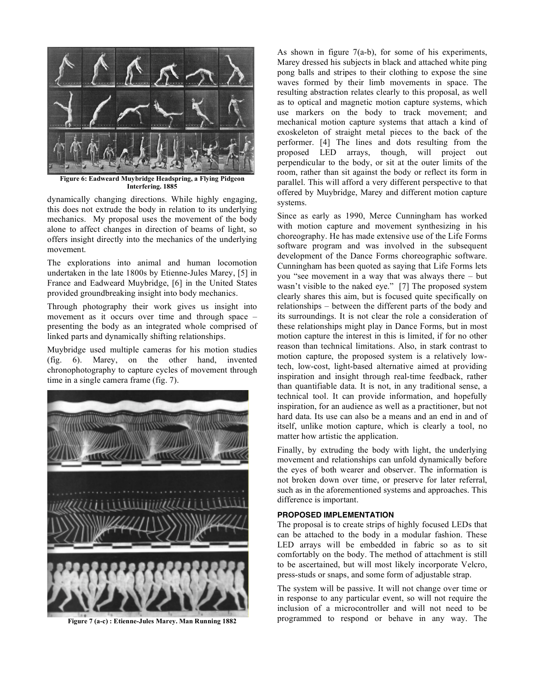

**Figure 6: Eadweard Muybridge Headspring, a Flying Pidgeon Interfering. 1885**

dynamically changing directions. While highly engaging, this does not extrude the body in relation to its underlying mechanics. My proposal uses the movement of the body alone to affect changes in direction of beams of light, so offers insight directly into the mechanics of the underlying movement.

The explorations into animal and human locomotion undertaken in the late 1800s by Etienne-Jules Marey, [5] in France and Eadweard Muybridge, [6] in the United States provided groundbreaking insight into body mechanics.

Through photography their work gives us insight into movement as it occurs over time and through space – presenting the body as an integrated whole comprised of linked parts and dynamically shifting relationships.

Muybridge used multiple cameras for his motion studies (fig. 6). Marey, on the other hand, invented chronophotography to capture cycles of movement through time in a single camera frame (fig. 7).



**Figure 7 (a-c) : Etienne-Jules Marey. Man Running 1882**

As shown in figure 7(a-b), for some of his experiments, Marey dressed his subjects in black and attached white ping pong balls and stripes to their clothing to expose the sine waves formed by their limb movements in space. The resulting abstraction relates clearly to this proposal, as well as to optical and magnetic motion capture systems, which use markers on the body to track movement; and mechanical motion capture systems that attach a kind of exoskeleton of straight metal pieces to the back of the performer. [4] The lines and dots resulting from the proposed LED arrays, though, will project out perpendicular to the body, or sit at the outer limits of the room, rather than sit against the body or reflect its form in parallel. This will afford a very different perspective to that offered by Muybridge, Marey and different motion capture systems.

Since as early as 1990, Merce Cunningham has worked with motion capture and movement synthesizing in his choreography. He has made extensive use of the Life Forms software program and was involved in the subsequent development of the Dance Forms choreographic software. Cunningham has been quoted as saying that Life Forms lets you "see movement in a way that was always there – but wasn't visible to the naked eye." [7] The proposed system clearly shares this aim, but is focused quite specifically on relationships – between the different parts of the body and its surroundings. It is not clear the role a consideration of these relationships might play in Dance Forms, but in most motion capture the interest in this is limited, if for no other reason than technical limitations. Also, in stark contrast to motion capture, the proposed system is a relatively lowtech, low-cost, light-based alternative aimed at providing inspiration and insight through real-time feedback, rather than quantifiable data. It is not, in any traditional sense, a technical tool. It can provide information, and hopefully inspiration, for an audience as well as a practitioner, but not hard data. Its use can also be a means and an end in and of itself, unlike motion capture, which is clearly a tool, no matter how artistic the application.

Finally, by extruding the body with light, the underlying movement and relationships can unfold dynamically before the eyes of both wearer and observer. The information is not broken down over time, or preserve for later referral, such as in the aforementioned systems and approaches. This difference is important.

#### **PROPOSED IMPLEMENTATION**

The proposal is to create strips of highly focused LEDs that can be attached to the body in a modular fashion. These LED arrays will be embedded in fabric so as to sit comfortably on the body. The method of attachment is still to be ascertained, but will most likely incorporate Velcro, press-studs or snaps, and some form of adjustable strap.

The system will be passive. It will not change over time or in response to any particular event, so will not require the inclusion of a microcontroller and will not need to be programmed to respond or behave in any way. The